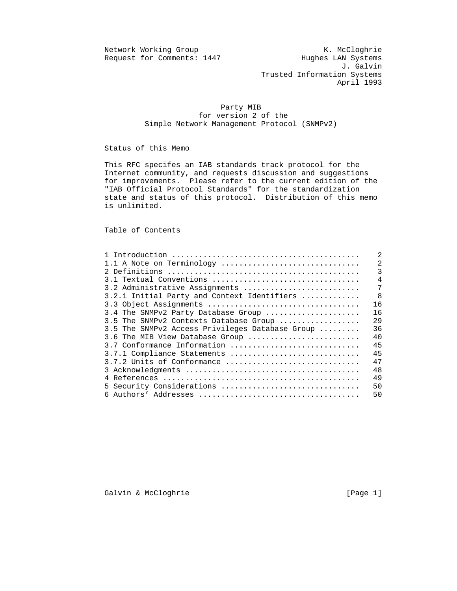Request for Comments: 1447

Network Working Group K. McCloghrie<br>Request for Comments: 1447 Hughes LAN Systems J. Galvin Trusted Information Systems April 1993

## Party MIB for version 2 of the Simple Network Management Protocol (SNMPv2)

Status of this Memo

 This RFC specifes an IAB standards track protocol for the Internet community, and requests discussion and suggestions for improvements. Please refer to the current edition of the "IAB Official Protocol Standards" for the standardization state and status of this protocol. Distribution of this memo is unlimited.

Table of Contents

|                                                 | 2  |
|-------------------------------------------------|----|
| 1.1 A Note on Terminology                       | 2  |
|                                                 | 3  |
| 3.1 Textual Conventions                         | 4  |
| 3.2 Administrative Assignments                  | 7  |
| 3.2.1 Initial Party and Context Identifiers     | -8 |
| 3.3 Object Assignments                          | 16 |
| 3.4 The SNMPv2 Party Database Group             | 16 |
| 3.5 The SNMPv2 Contexts Database Group          | 29 |
| 3.5 The SNMPv2 Access Privileges Database Group | 36 |
| 3.6 The MIB View Database Group                 | 40 |
| 3.7 Conformance Information                     | 45 |
| 3.7.1 Compliance Statements                     | 45 |
| 3.7.2 Units of Conformance                      | 47 |
|                                                 | 48 |
|                                                 | 49 |
| 5 Security Considerations                       | 50 |
|                                                 | 50 |

Galvin & McCloghrie [Page 1]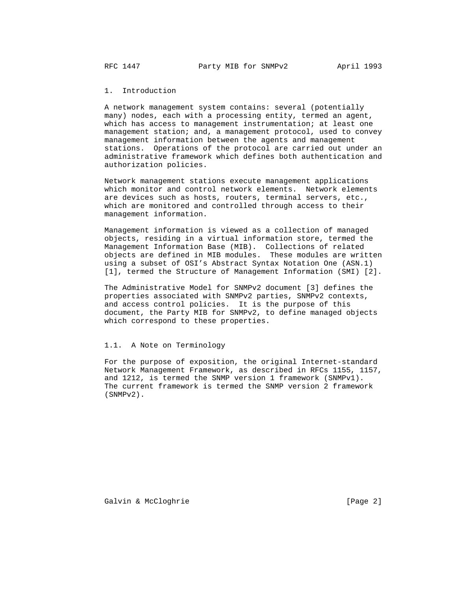1. Introduction

 A network management system contains: several (potentially many) nodes, each with a processing entity, termed an agent, which has access to management instrumentation; at least one management station; and, a management protocol, used to convey management information between the agents and management stations. Operations of the protocol are carried out under an administrative framework which defines both authentication and authorization policies.

 Network management stations execute management applications which monitor and control network elements. Network elements are devices such as hosts, routers, terminal servers, etc., which are monitored and controlled through access to their management information.

 Management information is viewed as a collection of managed objects, residing in a virtual information store, termed the Management Information Base (MIB). Collections of related objects are defined in MIB modules. These modules are written using a subset of OSI's Abstract Syntax Notation One (ASN.1) [1], termed the Structure of Management Information (SMI) [2].

 The Administrative Model for SNMPv2 document [3] defines the properties associated with SNMPv2 parties, SNMPv2 contexts, and access control policies. It is the purpose of this document, the Party MIB for SNMPv2, to define managed objects which correspond to these properties.

## 1.1. A Note on Terminology

 For the purpose of exposition, the original Internet-standard Network Management Framework, as described in RFCs 1155, 1157, and 1212, is termed the SNMP version 1 framework (SNMPv1). The current framework is termed the SNMP version 2 framework (SNMPv2).

Galvin & McCloghrie [Page 2]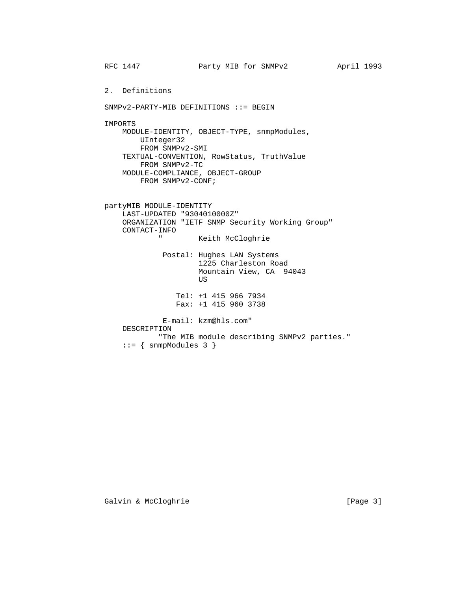RFC 1447 **Party MIB for SNMPv2** April 1993 2. Definitions SNMPv2-PARTY-MIB DEFINITIONS ::= BEGIN IMPORTS MODULE-IDENTITY, OBJECT-TYPE, snmpModules, UInteger32 FROM SNMPv2-SMI TEXTUAL-CONVENTION, RowStatus, TruthValue FROM SNMPv2-TC MODULE-COMPLIANCE, OBJECT-GROUP FROM SNMPv2-CONF; partyMIB MODULE-IDENTITY LAST-UPDATED "9304010000Z" ORGANIZATION "IETF SNMP Security Working Group" CONTACT-INFO Keith McCloghrie Postal: Hughes LAN Systems 1225 Charleston Road Mountain View, CA 94043 US And the state of the state of the state of the state of the state of the state of the state of the state of the state of the state of the state of the state of the state of the state of the state of the state of the sta Tel: +1 415 966 7934 Fax: +1 415 960 3738 E-mail: kzm@hls.com" DESCRIPTION "The MIB module describing SNMPv2 parties." ::= { snmpModules 3 }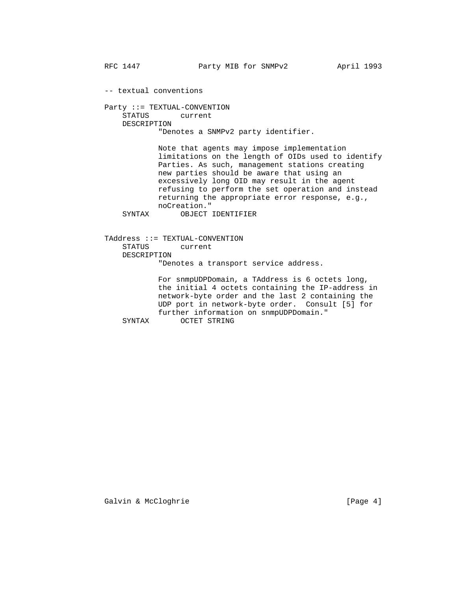-- textual conventions

 Party ::= TEXTUAL-CONVENTION STATUS current DESCRIPTION "Denotes a SNMPv2 party identifier.

> Note that agents may impose implementation limitations on the length of OIDs used to identify Parties. As such, management stations creating new parties should be aware that using an excessively long OID may result in the agent refusing to perform the set operation and instead returning the appropriate error response, e.g., noCreation."

SYNTAX OBJECT IDENTIFIER

 TAddress ::= TEXTUAL-CONVENTION STATUS current DESCRIPTION "Denotes a transport service address.

 For snmpUDPDomain, a TAddress is 6 octets long, the initial 4 octets containing the IP-address in network-byte order and the last 2 containing the UDP port in network-byte order. Consult [5] for further information on snmpUDPDomain."<br>SYNTAX OCTET STRING OCTET STRING

Galvin & McCloghrie [Page 4]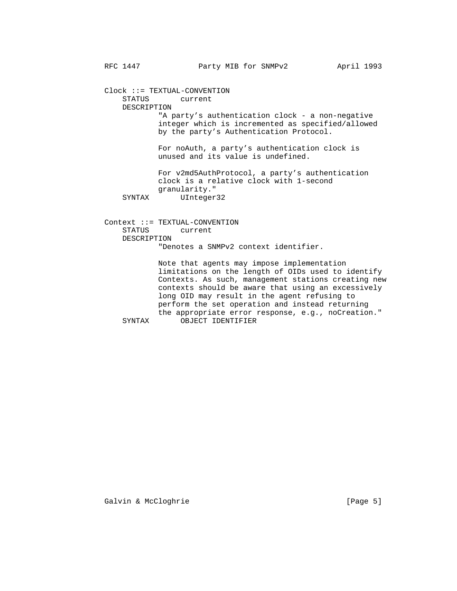Clock ::= TEXTUAL-CONVENTION STATUS current DESCRIPTION "A party's authentication clock - a non-negative integer which is incremented as specified/allowed by the party's Authentication Protocol. For noAuth, a party's authentication clock is unused and its value is undefined. For v2md5AuthProtocol, a party's authentication clock is a relative clock with 1-second granularity."<br>SYNTAX UInteger UInteger32 Context ::= TEXTUAL-CONVENTION STATUS current

"Denotes a SNMPv2 context identifier.

 Note that agents may impose implementation limitations on the length of OIDs used to identify Contexts. As such, management stations creating new contexts should be aware that using an excessively long OID may result in the agent refusing to perform the set operation and instead returning the appropriate error response, e.g., noCreation."<br>SYNTAX OBJECT IDENTIFIER OBJECT IDENTIFIER

Galvin & McCloghrie [Page 5]

DESCRIPTION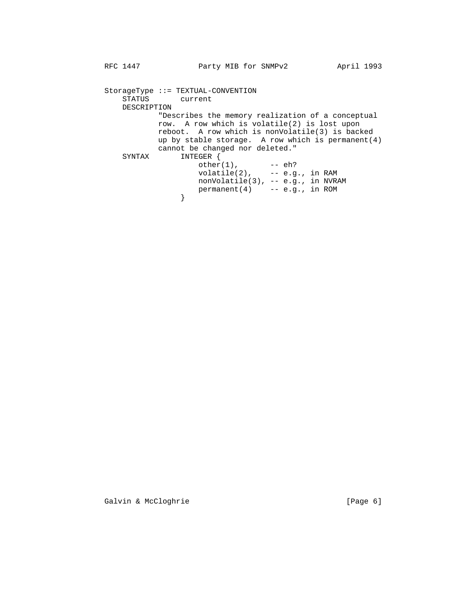```
 StorageType ::= TEXTUAL-CONVENTION
           STATUS current
           DESCRIPTION
                 "Describes the memory realization of a conceptual
                 row. A row which is volatile(2) is lost upon
                 reboot. A row which is nonVolatile(3) is backed
                 up by stable storage. A row which is permanent(4)
          cannot be changed nor deleted."<br>SYNTAX INTEGER {
                    INTEGER {
other(1), -- eh?
volatile(2), -- e.g., in RAM
 nonVolatile(3), -- e.g., in NVRAM
                    permanent(4) -- e.g., in ROM
 }
```
Galvin & McCloghrie [Page 6]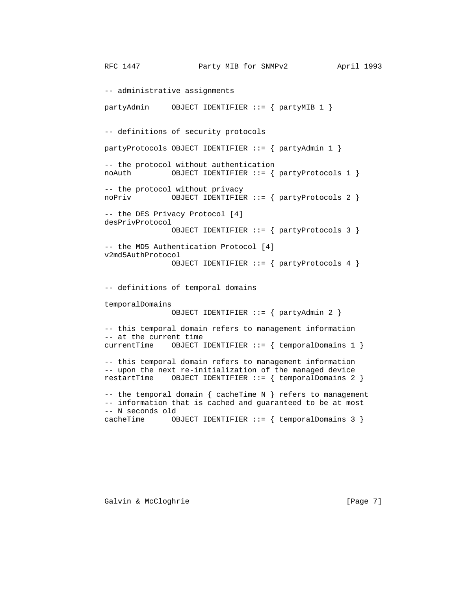-- administrative assignments partyAdmin OBJECT IDENTIFIER ::= { partyMIB 1 } -- definitions of security protocols partyProtocols OBJECT IDENTIFIER ::= { partyAdmin 1 } -- the protocol without authentication noAuth OBJECT IDENTIFIER ::= { partyProtocols 1 } -- the protocol without privacy noPriv OBJECT IDENTIFIER ::= { partyProtocols 2 } -- the DES Privacy Protocol [4] desPrivProtocol OBJECT IDENTIFIER ::= { partyProtocols 3 } -- the MD5 Authentication Protocol [4] v2md5AuthProtocol OBJECT IDENTIFIER ::= { partyProtocols 4 } -- definitions of temporal domains temporalDomains OBJECT IDENTIFIER ::= { partyAdmin 2 } -- this temporal domain refers to management information -- at the current time currentTime  $OBJECT$  IDENTIFIER ::= { temporalDomains 1 } -- this temporal domain refers to management information -- upon the next re-initialization of the managed device restartTime OBJECT IDENTIFIER ::= { temporalDomains 2 } -- the temporal domain  $\{$  cacheTime N  $\}$  refers to management -- information that is cached and guaranteed to be at most -- N seconds old cacheTime  $OBJECT IDENTIFIER :: = \{ temporalDomains 3 \}$ 

Galvin & McCloghrie [Page 7]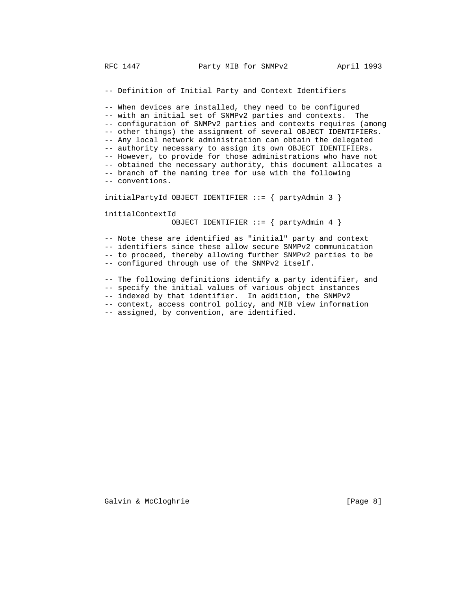-- Definition of Initial Party and Context Identifiers

 -- When devices are installed, they need to be configured -- with an initial set of SNMPv2 parties and contexts. The -- configuration of SNMPv2 parties and contexts requires (among -- other things) the assignment of several OBJECT IDENTIFIERs. -- Any local network administration can obtain the delegated -- authority necessary to assign its own OBJECT IDENTIFIERs. -- However, to provide for those administrations who have not -- obtained the necessary authority, this document allocates a -- branch of the naming tree for use with the following -- conventions.

initialPartyId OBJECT IDENTIFIER  $::=$  { partyAdmin 3 }

initialContextId

OBJECT IDENTIFIER ::= { partyAdmin 4 }

 -- Note these are identified as "initial" party and context -- identifiers since these allow secure SNMPv2 communication -- to proceed, thereby allowing further SNMPv2 parties to be -- configured through use of the SNMPv2 itself.

-- The following definitions identify a party identifier, and

-- specify the initial values of various object instances

-- indexed by that identifier. In addition, the SNMPv2

-- context, access control policy, and MIB view information

-- assigned, by convention, are identified.

Galvin & McCloghrie **Example 2018** [Page 8]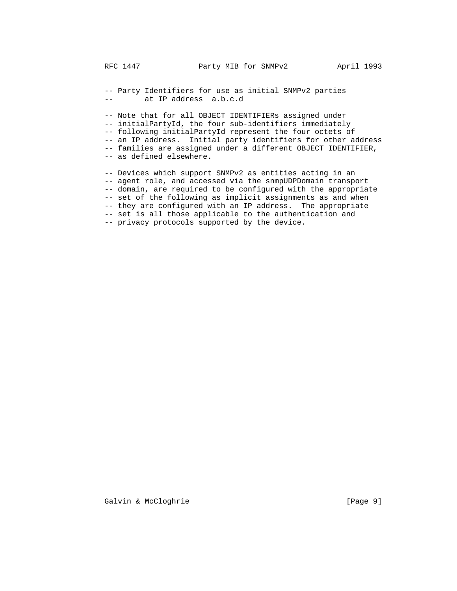-- Party Identifiers for use as initial SNMPv2 parties -- at IP address a.b.c.d

 -- Note that for all OBJECT IDENTIFIERs assigned under -- initialPartyId, the four sub-identifiers immediately -- following initialPartyId represent the four octets of -- an IP address. Initial party identifiers for other address -- families are assigned under a different OBJECT IDENTIFIER, -- as defined elsewhere.

 -- Devices which support SNMPv2 as entities acting in an -- agent role, and accessed via the snmpUDPDomain transport -- domain, are required to be configured with the appropriate -- set of the following as implicit assignments as and when -- they are configured with an IP address. The appropriate -- set is all those applicable to the authentication and -- privacy protocols supported by the device.

Galvin & McCloghrie [Page 9]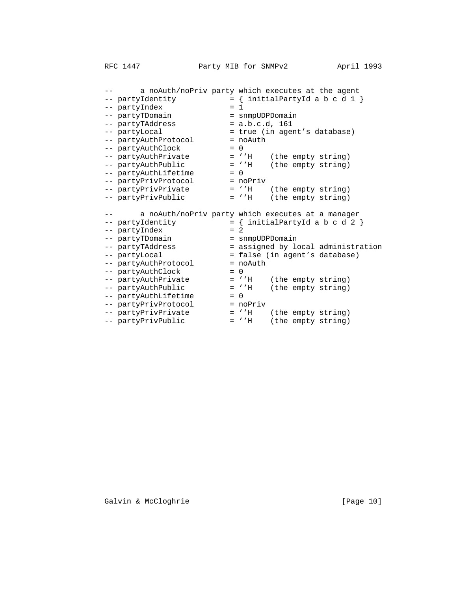-- a noAuth/noPriv party which executes at the agent  $--$  partyIdentity  $=$  { initialPartyId a b c d 1 } -- partyIndex = 1 -- partyTDomain = snmpUDPDomain -- partyTAddress = a.b.c.d, 161 -- partyLocal  $=$  true (in agent's database) -- partyAuthProtocol = noAuth -- partyAuthClock = 0 -- partyAuthPrivate  $-$  = ''H (the empty string) -- partyAuthPublic  $-$  = ''H (the empty string) -- partyAuthLifetime = 0 -- partyPrivProtocol = noPriv -- partyPrivPrivate  $-$  = ''H (the empty string) -- partyPrivPublic = ''H (the empty string) -- a noAuth/noPriv party which executes at a manager  $--$  partyIdentity  $= { \n   
\n = 2$  initialPartyId a b c d 2 } -- partyIndex = 2 -- partyTDomain = snmpUDPDomain -- partyTAddress  $-$  assigned by local administration -- partyLocal = false (in agent's database) -- partyAuthProtocol = noAuth -- partyAuthClock = 0 -- partyAuthPrivate  $-$  = ''H (the empty string) -- partyAuthPublic  $-$  = ''H (the empty string) -- partyAuthLifetime = 0 -- partyPrivProtocol = noPriv -- partyPrivPrivate  $-$  = ''H (the empty string) -- partyPrivPublic = ''H (the empty string)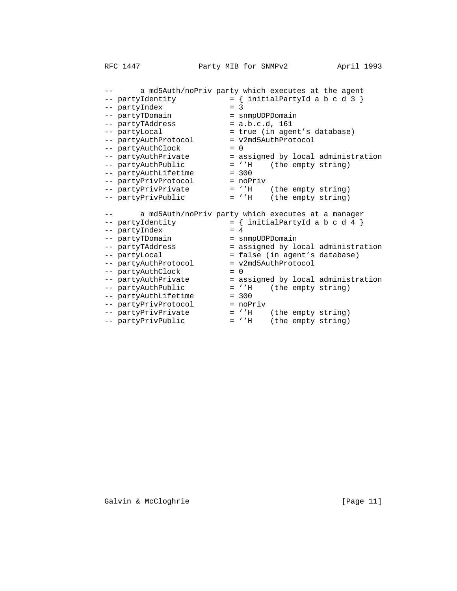-- a md5Auth/noPriv party which executes at the agent<br>-- partyIdentity = { initialPartyId a b c d 3 }  $--$  partyIdentity  $= {$  initialPartyId a b c d 3  $}$ -- partyIndex = 3 -- partyTDomain = snmpUDPDomain -- partyTAddress = a.b.c.d, 161 -- partyLocal  $=$  true (in agent's database) -- partyAuthProtocol = v2md5AuthProtocol -- partyAuthClock = 0 -- partyAuthPrivate  $-$  = assigned by local administration -- partyAuthPublic  $-$  = ''H (the empty string) -- partyAuthLifetime = 300 -- partyPrivProtocol = noPriv -- partyPrivPrivate  $-$  = ''H (the empty string) -- partyPrivPublic = ''H (the empty string) -- a md5Auth/noPriv party which executes at a manager  $--$  partyIdentity  $=$  { initialPartyId a b c d 4 } -- partyIndex = 4 -- partyTDomain = snmpUDPDomain -- partyTAddress  $-$  assigned by local administration -- partyLocal = false (in agent's database) -- partyAuthProtocol = v2md5AuthProtocol -- partyAuthClock = 0 -- partyAuthPrivate  $-$  = assigned by local administration -- partyAuthPublic  $-$  = ''H (the empty string) -- partyAuthLifetime = 300 -- partyPrivProtocol = noPriv -- partyPrivPrivate  $-$  = ''H (the empty string) -- partyPrivPublic = ''H (the empty string)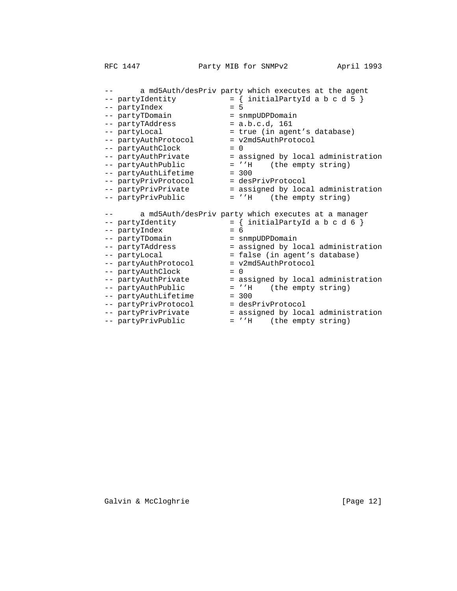-- a md5Auth/desPriv party which executes at the agent<br>-- partyIdentity = { initialPartyId a b c d 5 }  $--$  partyIdentity  $= {$  initialPartyId a b c d 5  $}$ -- partyIndex = 5 -- partyTDomain = snmpUDPDomain -- partyTAddress = a.b.c.d, 161 -- partyLocal  $=$  true (in agent's database) -- partyAuthProtocol = v2md5AuthProtocol -- partyAuthClock = 0 -- partyAuthPrivate  $-$  = assigned by local administration -- partyAuthPublic  $-$  = ''H (the empty string) -- partyAuthLifetime = 300 -- partyPrivProtocol = desPrivProtocol -- partyPrivPrivate  $-$  assigned by local administration -- partyPrivPublic = ''H (the empty string) -- a md5Auth/desPriv party which executes at a manager  $--$  partyIdentity  $=$  { initialPartyId a b c d 6 } -- partyIndex = 6 -- partyTDomain = snmpUDPDomain -- partyTAddress  $-$  assigned by local administration -- partyLocal = false (in agent's database) -- partyAuthProtocol = v2md5AuthProtocol -- partyAuthClock = 0 -- partyAuthPrivate  $-$  = assigned by local administration -- partyAuthPublic  $-$  = ''H (the empty string) -- partyAuthLifetime = 300 -- partyPrivProtocol = desPrivProtocol -- partyPrivPrivate  $-$  assigned by local administration

- 
- -- partyPrivPublic = ''H (the empty string)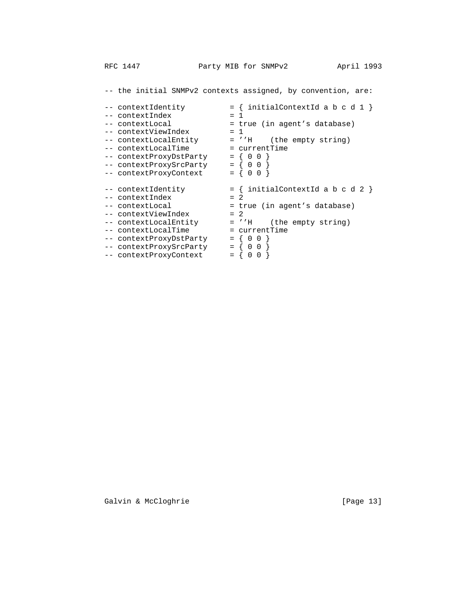-- the initial SNMPv2 contexts assigned, by convention, are: -- contextIdentity  $= {$  initialContextId a b c d 1  $}$  $--$  contextIndex = 1<br> $-$  contextIndex = 1<br> $+$  r -- contextLocal = true (in agent's database)<br>-- contextViewIndex = 1 -- contextViewIndex = 1 -- contextLocalEntity = ''H (the empty string) -- contextLocalTime = currentTime -- contextProxyDstParty = { 0 0 } -- contextProxySrcParty = { 0 0 }  $--$  contextProxyContext  $= \{ 0 \; 0 \}$  $---$  contextIdentity  $= {$  initialContextId a b c d 2  $}$ -- contextIndex = 2 -- contextLocal  $=$  true (in agent's database) -- contextViewIndex = 2 -- contextLocalEntity = ''H (the empty string) -- contextLocalTime = currentTime -- contextProxyDstParty = { 0 0 } -- contextProxySrcParty = { 0 0 } -- contextProxyContext = { 0 0 }

Galvin & McCloghrie [Page 13]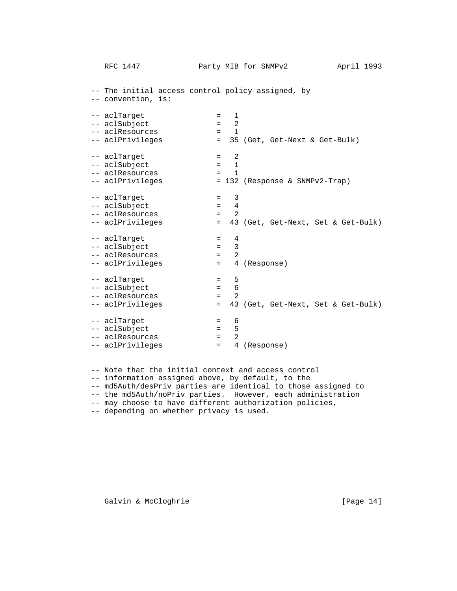-- The initial access control policy assigned, by -- convention, is: -- aclTarget = 1 -- aclSubject = 2 -- aclResources = 1 = 1<br>= 35 (Get, Get-Next & Get-Bulk) -- aclTarget = 2<br>-- aclSubject = 1 -- aclSubject = -- aclResources = 1 -- aclPrivileges = 132 (Response & SNMPv2-Trap)  $--$  aclTarget  $= 3$  -- aclSubject = 4 -- aclResources = 2 -- aclPrivileges = 43 (Get, Get-Next, Set & Get-Bulk) -- aclTarget = 4<br>-- aclSubject = 3 -- aclSubject = 3<br>-- aclResources = 2 -- aclResources -- aclPrivileges = 4 (Response) -- aclTarget = 5<br>-- aclSubject = 6 -- aclSubject =  $\qquad \qquad =$  -- aclResources = 2 -- aclPrivileges = 43 (Get, Get-Next, Set & Get-Bulk)  $--$  aclTarget  $= 6$ -- aclSubject = 5<br>-- aclResources = 2 -- aclResources -- aclPrivileges = 4 (Response)

-- Note that the initial context and access control

-- information assigned above, by default, to the

- -- md5Auth/desPriv parties are identical to those assigned to
- -- the md5Auth/noPriv parties. However, each administration
- -- may choose to have different authorization policies,

-- depending on whether privacy is used.

Galvin & McCloghrie [Page 14]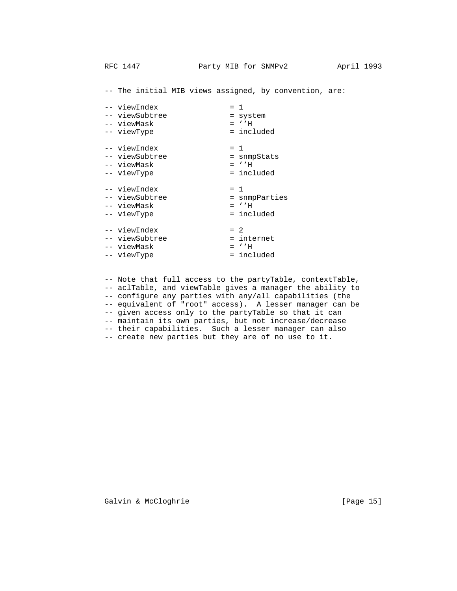-- viewIndex = 1 -- viewSubtree = system -- viewMask -- viewType = included -- viewIndex = 1 -- viewSubtree = snmpStats -- viewMask = ''H -- viewType  $-$  = included -- viewIndex = 1 -- viewSubtree  $-$  snmpParties -- viewMask = ''H -- viewType  $-$  = included -- viewIndex = 2 -- viewSubtree = internet -- viewMask = ''H -- viewbox.<br>-- viewMask = ...<br>-- viewType = included<br>= included

> -- Note that full access to the partyTable, contextTable, -- aclTable, and viewTable gives a manager the ability to -- configure any parties with any/all capabilities (the -- equivalent of "root" access). A lesser manager can be -- given access only to the partyTable so that it can -- maintain its own parties, but not increase/decrease -- their capabilities. Such a lesser manager can also -- create new parties but they are of no use to it.

-- The initial MIB views assigned, by convention, are:

Galvin & McCloghrie [Page 15]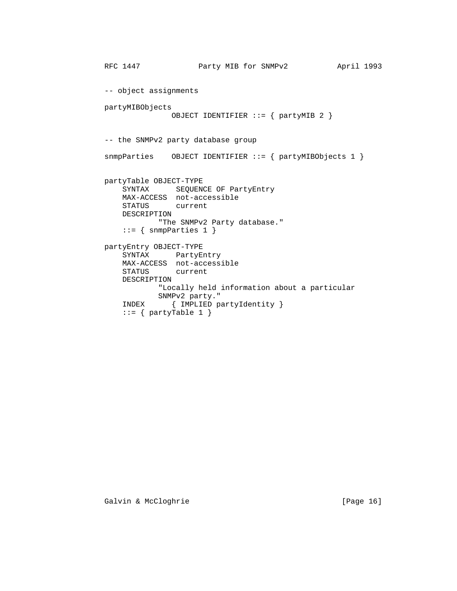```
RFC 1447 Party MIB for SNMPv2 April 1993
 -- object assignments
 partyMIBObjects
               OBJECT IDENTIFIER ::= { partyMIB 2 }
 -- the SNMPv2 party database group
 snmpParties OBJECT IDENTIFIER ::= { partyMIBObjects 1 }
 partyTable OBJECT-TYPE
    SYNTAX SEQUENCE OF PartyEntry
    MAX-ACCESS not-accessible
    STATUS current
    DESCRIPTION
            "The SNMPv2 Party database."
    ::= { snmpParties 1 }
 partyEntry OBJECT-TYPE
    SYNTAX PartyEntry
    MAX-ACCESS not-accessible
    STATUS current
    DESCRIPTION
            "Locally held information about a particular
           SNMPv2 party."
    INDEX { IMPLIED partyIdentity }
   ::= \{ partyTable 1 \}
```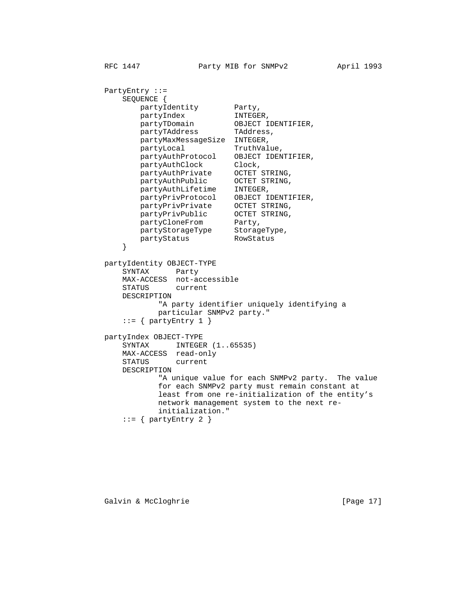PartyEntry ::= SEQUENCE { partyIdentity Party, partyIndex INTEGER,<br>partyTDomain OBJECT I partyTDomain OBJECT IDENTIFIER, partyTAddress TAddress, partyMaxMessageSize INTEGER, partyLocal TruthValue, partyAuthProtocol OBJECT IDENTIFIER, partyAuthClock Clock, partyAuthPrivate OCTET STRING, partyAuthPublic OCTET STRING, partyAuthLifetime INTEGER, partyPrivProtocol OBJECT IDENTIFIER, partyPrivPrivate OCTET STRING, partyPrivPublic OCTET STRING, partyCloneFrom Party, partyStorageType StorageType, partyStatus RowStatus } partyIdentity OBJECT-TYPE SYNTAX Party MAX-ACCESS not-accessible STATUS current DESCRIPTION "A party identifier uniquely identifying a particular SNMPv2 party."  $::=$  { partyEntry 1 } partyIndex OBJECT-TYPE SYNTAX INTEGER  $(1..65535)$  MAX-ACCESS read-only STATUS current DESCRIPTION "A unique value for each SNMPv2 party. The value for each SNMPv2 party must remain constant at least from one re-initialization of the entity's network management system to the next re initialization."  $::=$  { partyEntry 2 }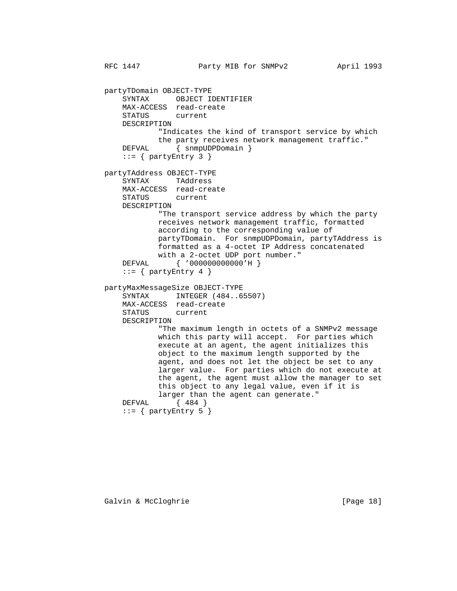RFC 1447 **Party MIB for SNMPv2** April 1993 partyTDomain OBJECT-TYPE SYNTAX OBJECT IDENTIFIER MAX-ACCESS read-create STATUS current DESCRIPTION "Indicates the kind of transport service by which the party receives network management traffic." DEFVAL { snmpUDPDomain }  $::=$  { partyEntry 3 } partyTAddress OBJECT-TYPE SYNTAX TAddress MAX-ACCESS read-create STATUS DESCRIPTION "The transport service address by which the party receives network management traffic, formatted according to the corresponding value of partyTDomain. For snmpUDPDomain, partyTAddress is formatted as a 4-octet IP Address concatenated with a 2-octet UDP port number." DEFVAL { '000000000000'H }  $::=$  { partyEntry 4 } partyMaxMessageSize OBJECT-TYPE SYNTAX INTEGER (484..65507) MAX-ACCESS read-create STATUS current DESCRIPTION "The maximum length in octets of a SNMPv2 message which this party will accept. For parties which execute at an agent, the agent initializes this object to the maximum length supported by the agent, and does not let the object be set to any larger value. For parties which do not execute at the agent, the agent must allow the manager to set this object to any legal value, even if it is larger than the agent can generate."<br>DEFVAL {  $484$  }  $\{484\}$ ::=  $\{$  partyEntry 5  $\}$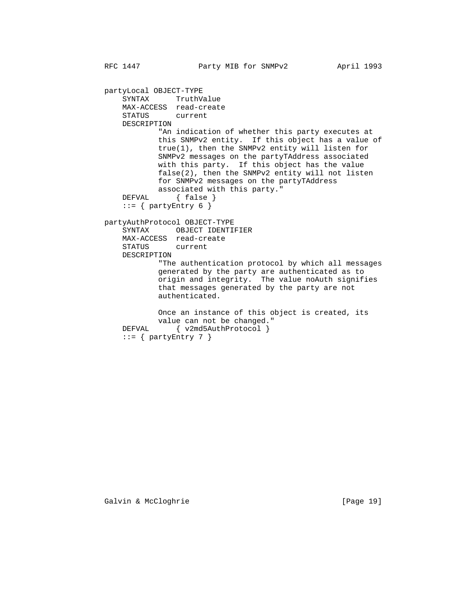partyLocal OBJECT-TYPE SYNTAX TruthValue MAX-ACCESS read-create STATUS current DESCRIPTION "An indication of whether this party executes at this SNMPv2 entity. If this object has a value of true(1), then the SNMPv2 entity will listen for SNMPv2 messages on the partyTAddress associated with this party. If this object has the value false(2), then the SNMPv2 entity will not listen for SNMPv2 messages on the partyTAddress associated with this party."<br>DEFVAL { false }  $\{ false \}$  $::=$  { partyEntry 6 } partyAuthProtocol OBJECT-TYPE SYNTAX OBJECT IDENTIFIER MAX-ACCESS read-create STATUS current DESCRIPTION "The authentication protocol by which all messages generated by the party are authenticated as to origin and integrity. The value noAuth signifies that messages generated by the party are not authenticated. Once an instance of this object is created, its value can not be changed." DEFVAL { v2md5AuthProtocol } ::=  $\{$  partyEntry 7  $\}$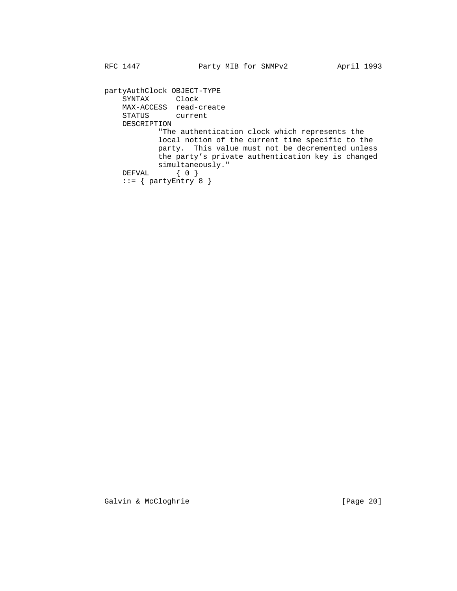partyAuthClock OBJECT-TYPE SYNTAX Clock MAX-ACCESS read-create STATUS current DESCRIPTION "The authentication clock which represents the local notion of the current time specific to the party. This value must not be decremented unless the party's private authentication key is changed simultaneously." DEFVAL { 0 }  $::=$  { partyEntry  $8$  }

Galvin & McCloghrie [Page 20]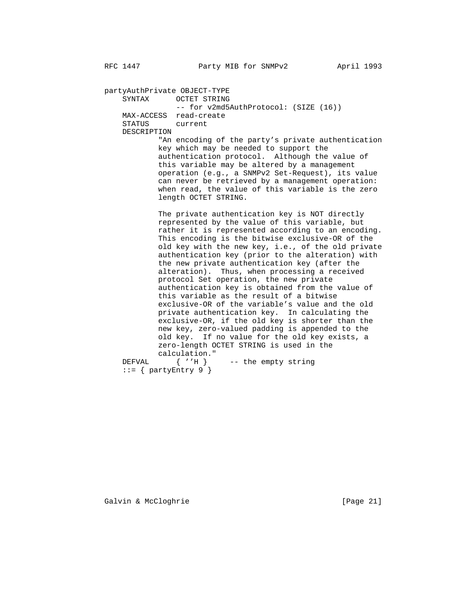partyAuthPrivate OBJECT-TYPE SYNTAX OCTET STRING -- for v2md5AuthProtocol: (SIZE (16)) MAX-ACCESS read-create STATUS current DESCRIPTION "An encoding of the party's private authentication key which may be needed to support the authentication protocol. Although the value of this variable may be altered by a management operation (e.g., a SNMPv2 Set-Request), its value can never be retrieved by a management operation: when read, the value of this variable is the zero length OCTET STRING. The private authentication key is NOT directly represented by the value of this variable, but rather it is represented according to an encoding. This encoding is the bitwise exclusive-OR of the old key with the new key, i.e., of the old private authentication key (prior to the alteration) with the new private authentication key (after the alteration). Thus, when processing a received protocol Set operation, the new private authentication key is obtained from the value of this variable as the result of a bitwise exclusive-OR of the variable's value and the old private authentication key. In calculating the exclusive-OR, if the old key is shorter than the new key, zero-valued padding is appended to the old key. If no value for the old key exists, a zero-length OCTET STRING is used in the  $\begin{tabular}{ll} \bf \end{tabular} \begin{tabular}{ll} \bf \end{tabular} \begin{tabular}{ll} \bf \end{tabular} \begin{tabular}{ll} \bf \end{tabular} \begin{tabular}{ll} \bf \end{tabular} \end{tabular} \begin{tabular}{ll} \bf \end{tabular} \begin{tabular}{ll} \bf \end{tabular} \end{tabular}$ -- the empty string

 $::=$  { partyEntry 9 }

Galvin & McCloghrie [Page 21]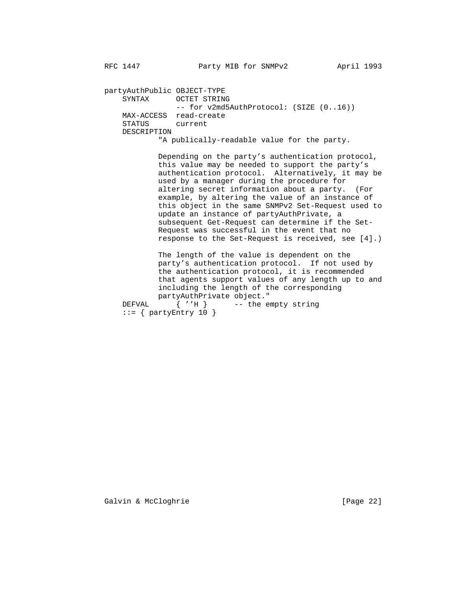partyAuthPublic OBJECT-TYPE SYNTAX OCTET STRING -- for v2md5AuthProtocol: (SIZE (0..16)) MAX-ACCESS read-create STATUS current DESCRIPTION

"A publically-readable value for the party.

 Depending on the party's authentication protocol, this value may be needed to support the party's authentication protocol. Alternatively, it may be used by a manager during the procedure for altering secret information about a party. (For example, by altering the value of an instance of this object in the same SNMPv2 Set-Request used to update an instance of partyAuthPrivate, a subsequent Get-Request can determine if the Set- Request was successful in the event that no response to the Set-Request is received, see [4].)

 The length of the value is dependent on the party's authentication protocol. If not used by the authentication protocol, it is recommended that agents support values of any length up to and including the length of the corresponding partyAuthPrivate object."<br>DEFVAL { ''H } -- the e

 $\{ 'H \}$  -- the empty string  $::=$  { partyEntry 10 }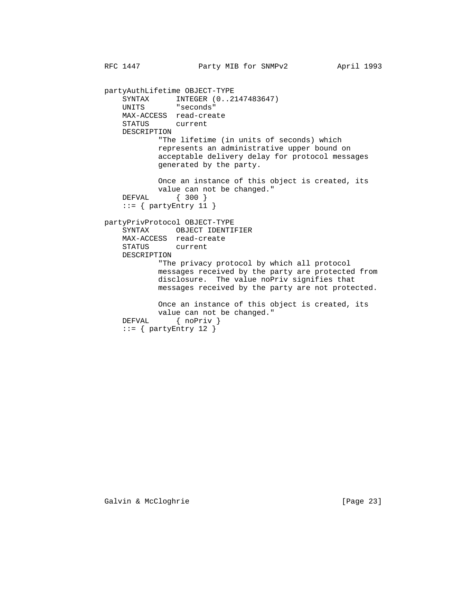partyAuthLifetime OBJECT-TYPE SYNTAX INTEGER (0..2147483647)<br>UNITS "seconds" "seconds" MAX-ACCESS read-create STATUS current DESCRIPTION "The lifetime (in units of seconds) which represents an administrative upper bound on acceptable delivery delay for protocol messages generated by the party. Once an instance of this object is created, its value can not be changed."<br>DEFVAL { 300 }  $\{ 300 \}$  $::=$  { partyEntry 11 } partyPrivProtocol OBJECT-TYPE SYNTAX OBJECT IDENTIFIER MAX-ACCESS read-create STATUS current DESCRIPTION "The privacy protocol by which all protocol messages received by the party are protected from disclosure. The value noPriv signifies that messages received by the party are not protected. Once an instance of this object is created, its value can not be changed." DEFVAL { noPriv }  $::= \{$  partyEntry 12  $\}$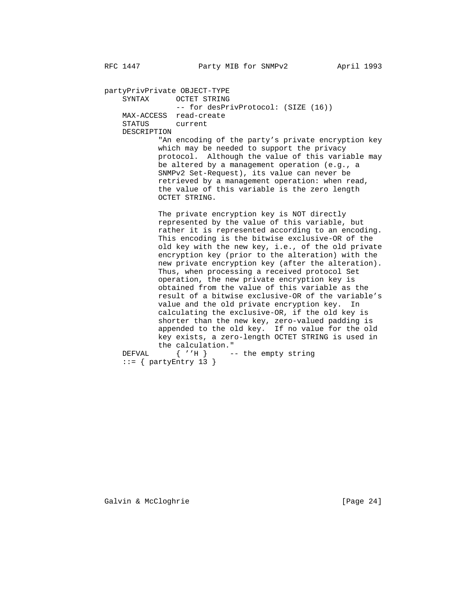partyPrivPrivate OBJECT-TYPE SYNTAX OCTET STRING -- for desPrivProtocol: (SIZE (16)) MAX-ACCESS read-create STATUS current DESCRIPTION "An encoding of the party's private encryption key which may be needed to support the privacy protocol. Although the value of this variable may be altered by a management operation (e.g., a SNMPv2 Set-Request), its value can never be retrieved by a management operation: when read, the value of this variable is the zero length OCTET STRING. The private encryption key is NOT directly represented by the value of this variable, but rather it is represented according to an encoding. This encoding is the bitwise exclusive-OR of the old key with the new key, i.e., of the old private encryption key (prior to the alteration) with the new private encryption key (after the alteration). Thus, when processing a received protocol Set operation, the new private encryption key is obtained from the value of this variable as the result of a bitwise exclusive-OR of the variable's value and the old private encryption key. In calculating the exclusive-OR, if the old key is shorter than the new key, zero-valued padding is appended to the old key. If no value for the old key exists, a zero-length OCTET STRING is used in the calculation."<br>DEFVAL { ''H } - $\{ ''H \}$  -- the empty string

 $::=$  { partyEntry 13 }

Galvin & McCloghrie [Page 24]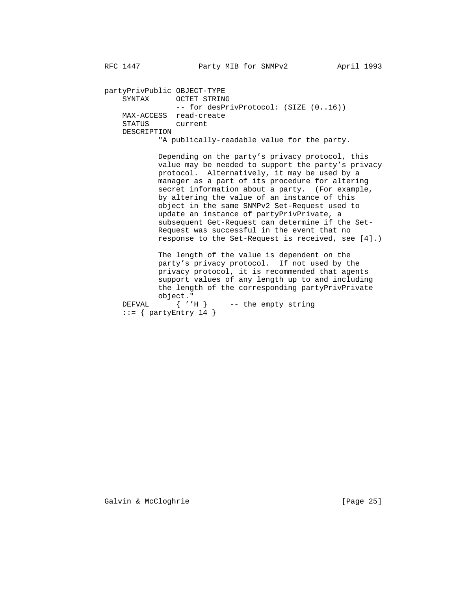partyPrivPublic OBJECT-TYPE SYNTAX OCTET STRING -- for desPrivProtocol: (SIZE (0..16)) MAX-ACCESS read-create STATUS current DESCRIPTION

"A publically-readable value for the party.

 Depending on the party's privacy protocol, this value may be needed to support the party's privacy protocol. Alternatively, it may be used by a manager as a part of its procedure for altering secret information about a party. (For example, by altering the value of an instance of this object in the same SNMPv2 Set-Request used to update an instance of partyPrivPrivate, a subsequent Get-Request can determine if the Set- Request was successful in the event that no response to the Set-Request is received, see [4].)

 The length of the value is dependent on the party's privacy protocol. If not used by the privacy protocol, it is recommended that agents support values of any length up to and including the length of the corresponding partyPrivPrivate

object."<br>DEFVAL { ''E  ${'}'H$  -- the empty string  $::=$  { partyEntry 14 }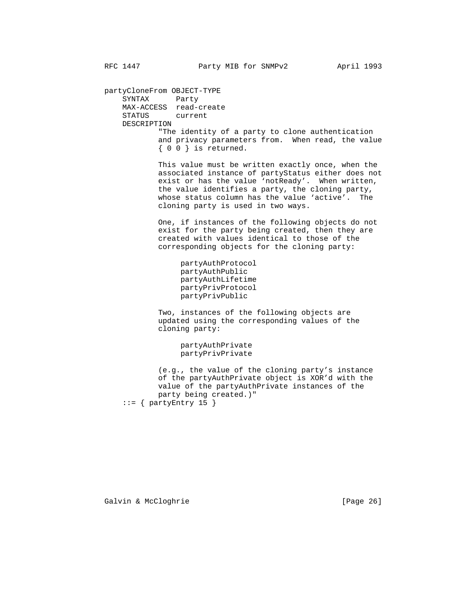partyCloneFrom OBJECT-TYPE SYNTAX Party MAX-ACCESS read-create STATUS current DESCRIPTION "The identity of a party to clone authentication and privacy parameters from. When read, the value { 0 0 } is returned.

> This value must be written exactly once, when the associated instance of partyStatus either does not exist or has the value 'notReady'. When written, the value identifies a party, the cloning party, whose status column has the value 'active'. The cloning party is used in two ways.

 One, if instances of the following objects do not exist for the party being created, then they are created with values identical to those of the corresponding objects for the cloning party:

 partyAuthProtocol partyAuthPublic partyAuthLifetime partyPrivProtocol partyPrivPublic

 Two, instances of the following objects are updated using the corresponding values of the cloning party:

> partyAuthPrivate partyPrivPrivate

 (e.g., the value of the cloning party's instance of the partyAuthPrivate object is XOR'd with the value of the partyAuthPrivate instances of the party being created.)" ::= { partyEntry 15 }

Galvin & McCloghrie [Page 26]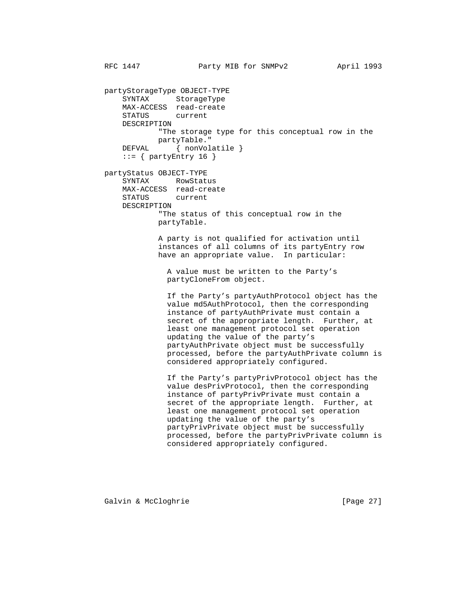partyStorageType OBJECT-TYPE SYNTAX StorageType MAX-ACCESS read-create STATUS current DESCRIPTION "The storage type for this conceptual row in the partyTable." DEFVAL { nonVolatile }  $::=$  { partyEntry 16 } partyStatus OBJECT-TYPE SYNTAX RowStatus MAX-ACCESS read-create STATUS DESCRIPTION "The status of this conceptual row in the partyTable. A party is not qualified for activation until instances of all columns of its partyEntry row have an appropriate value. In particular: A value must be written to the Party's partyCloneFrom object. If the Party's partyAuthProtocol object has the value md5AuthProtocol, then the corresponding instance of partyAuthPrivate must contain a secret of the appropriate length. Further, at least one management protocol set operation updating the value of the party's partyAuthPrivate object must be successfully processed, before the partyAuthPrivate column is considered appropriately configured. If the Party's partyPrivProtocol object has the value desPrivProtocol, then the corresponding instance of partyPrivPrivate must contain a secret of the appropriate length. Further, at least one management protocol set operation updating the value of the party's partyPrivPrivate object must be successfully processed, before the partyPrivPrivate column is considered appropriately configured.

Galvin & McCloghrie [Page 27]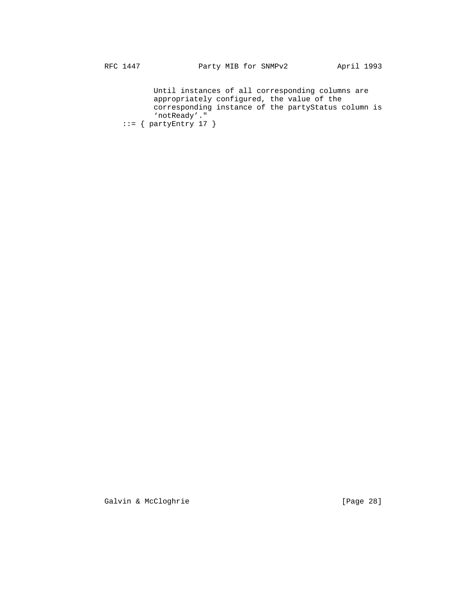Until instances of all corresponding columns are appropriately configured, the value of the corresponding instance of the partyStatus column is 'notReady'."  $::=$  { partyEntry 17 }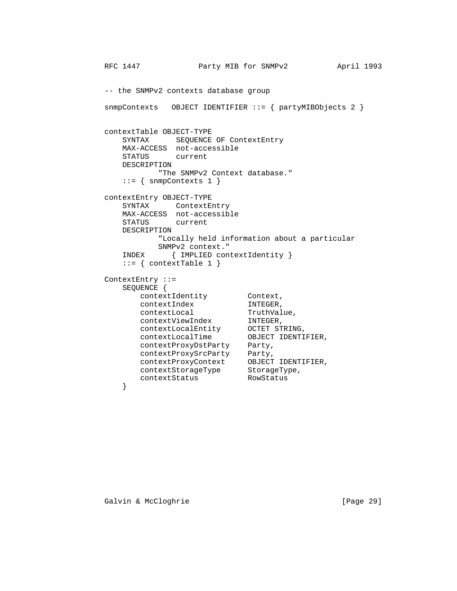```
RFC 1447 Party MIB for SNMPv2 April 1993
        -- the SNMPv2 contexts database group
        snmpContexts OBJECT IDENTIFIER ::= { partyMIBObjects 2 }
        contextTable OBJECT-TYPE
            SYNTAX SEQUENCE OF ContextEntry
           MAX-ACCESS not-accessible
            STATUS current
            DESCRIPTION
                 "The SNMPv2 Context database."
           ::= { snmpContexts 1 }
        contextEntry OBJECT-TYPE
           SYNTAX ContextEntry
            MAX-ACCESS not-accessible
            STATUS current
            DESCRIPTION
                  "Locally held information about a particular
                  SNMPv2 context."
            INDEX { IMPLIED contextIdentity }
           ::= { contextTable 1 }
        ContextEntry ::=
           SEQUENCE {
              contextIdentity Context,
             contextIndex INTEGER,<br>contextLocal TruthVal
contextLocal TruthValue,
 contextViewIndex INTEGER,
 contextLocalEntity OCTET STRING,
 contextLocalTime OBJECT IDENTIFIER,
              contextProxyDstParty Party,
 contextProxySrcParty Party,
 contextProxyContext OBJECT IDENTIFIER,
 contextStorageType StorageType,
contextStatus RowStatus
 }
```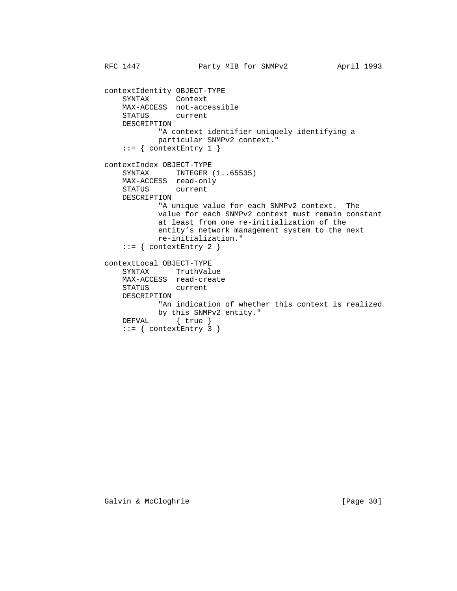```
RFC 1447 Party MIB for SNMPv2 April 1993
         contextIdentity OBJECT-TYPE
             SYNTAX Context
             MAX-ACCESS not-accessible
             STATUS current
             DESCRIPTION
                    "A context identifier uniquely identifying a
                   particular SNMPv2 context."
            ::= { contextEntry 1 }
         contextIndex OBJECT-TYPE
            SYNTAX INTEGER (1..65535) MAX-ACCESS read-only
             STATUS current
             DESCRIPTION
                    "A unique value for each SNMPv2 context. The
                    value for each SNMPv2 context must remain constant
                    at least from one re-initialization of the
                    entity's network management system to the next
                    re-initialization."
            ::= { contextEntry 2 }
         contextLocal OBJECT-TYPE
SYNTAX TruthValue
 MAX-ACCESS read-create
             STATUS current
             DESCRIPTION
                    "An indication of whether this context is realized
 by this SNMPv2 entity."
DEFVAL \{true\}::= { contextEntry 3 }
```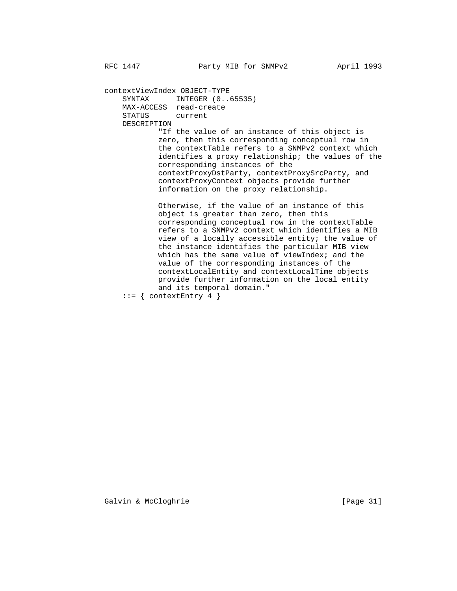contextViewIndex OBJECT-TYPE SYNTAX INTEGER (0..65535) MAX-ACCESS read-create STATUS current DESCRIPTION "If the value of an instance of this object is zero, then this corresponding conceptual row in the contextTable refers to a SNMPv2 context which identifies a proxy relationship; the values of the corresponding instances of the contextProxyDstParty, contextProxySrcParty, and contextProxyContext objects provide further information on the proxy relationship. Otherwise, if the value of an instance of this object is greater than zero, then this corresponding conceptual row in the contextTable refers to a SNMPv2 context which identifies a MIB view of a locally accessible entity; the value of the instance identifies the particular MIB view which has the same value of viewIndex; and the value of the corresponding instances of the contextLocalEntity and contextLocalTime objects provide further information on the local entity

- and its temporal domain."
- $::=$  { contextEntry 4 }

Galvin & McCloghrie [Page 31]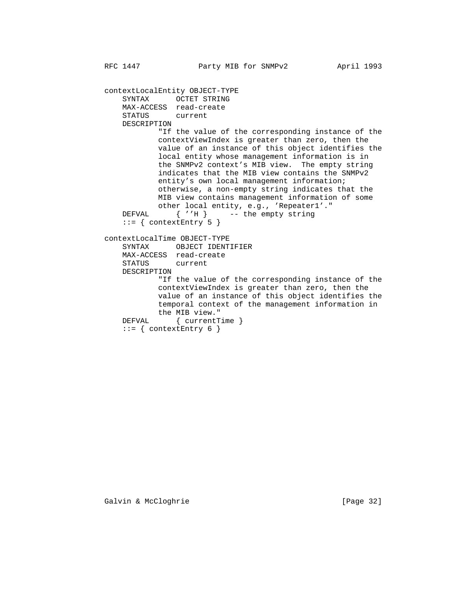contextLocalEntity OBJECT-TYPE SYNTAX OCTET STRING MAX-ACCESS read-create STATUS current DESCRIPTION "If the value of the corresponding instance of the contextViewIndex is greater than zero, then the value of an instance of this object identifies the local entity whose management information is in the SNMPv2 context's MIB view. The empty string indicates that the MIB view contains the SNMPv2 entity's own local management information; otherwise, a non-empty string indicates that the MIB view contains management information of some other local entity, e.g., 'Repeater1'." DEFVAL  $\{ 'H \}$  -- the empty string  $::=$  { contextEntry 5 } contextLocalTime OBJECT-TYPE SYNTAX OBJECT IDENTIFIER MAX-ACCESS read-create STATUS current DESCRIPTION "If the value of the corresponding instance of the contextViewIndex is greater than zero, then the value of an instance of this object identifies the temporal context of the management information in the MIB view."<br>DEFVAL { currentT:  $\{$  currentTime  $\}$  $::=$  { contextEntry 6 }

Galvin & McCloghrie [Page 32]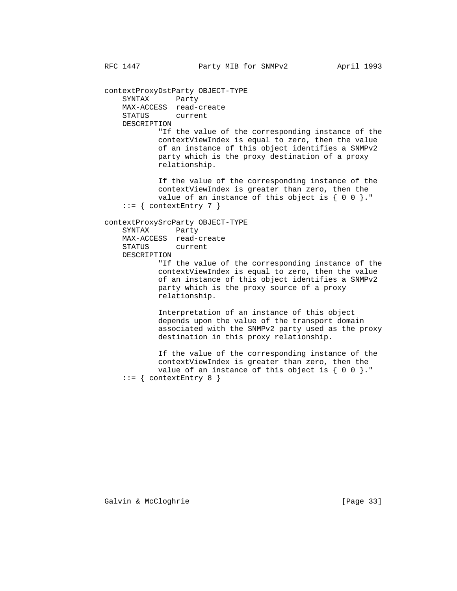contextProxyDstParty OBJECT-TYPE SYNTAX Party MAX-ACCESS read-create STATUS current DESCRIPTION

 "If the value of the corresponding instance of the contextViewIndex is equal to zero, then the value of an instance of this object identifies a SNMPv2 party which is the proxy destination of a proxy relationship.

 If the value of the corresponding instance of the contextViewIndex is greater than zero, then the value of an instance of this object is  $\{ 0 0 \}$ ."  $::=$  { contextEntry 7 }

## contextProxySrcParty OBJECT-TYPE

 SYNTAX Party MAX-ACCESS read-create STATUS current DESCRIPTION

> "If the value of the corresponding instance of the contextViewIndex is equal to zero, then the value of an instance of this object identifies a SNMPv2 party which is the proxy source of a proxy relationship.

> Interpretation of an instance of this object depends upon the value of the transport domain associated with the SNMPv2 party used as the proxy destination in this proxy relationship.

 If the value of the corresponding instance of the contextViewIndex is greater than zero, then the value of an instance of this object is  $\{ 0 0 \}$ ."  $::=$  { contextEntry 8 }

Galvin & McCloghrie [Page 33]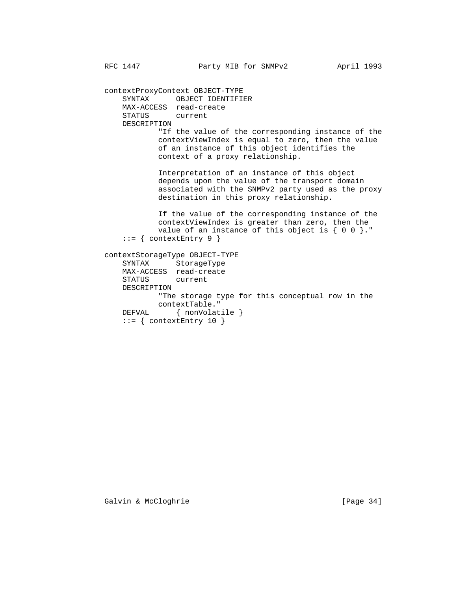contextProxyContext OBJECT-TYPE SYNTAX OBJECT IDENTIFIER MAX-ACCESS read-create STATUS current DESCRIPTION "If the value of the corresponding instance of the contextViewIndex is equal to zero, then the value of an instance of this object identifies the context of a proxy relationship. Interpretation of an instance of this object depends upon the value of the transport domain associated with the SNMPv2 party used as the proxy destination in this proxy relationship. If the value of the corresponding instance of the contextViewIndex is greater than zero, then the value of an instance of this object is  $\{ 0 0 \}$ ." ::= { contextEntry 9 } contextStorageType OBJECT-TYPE SYNTAX StorageType MAX-ACCESS read-create STATUS current DESCRIPTION "The storage type for this conceptual row in the contextTable." DEFVAL { nonVolatile }  $::=$  { contextEntry 10 }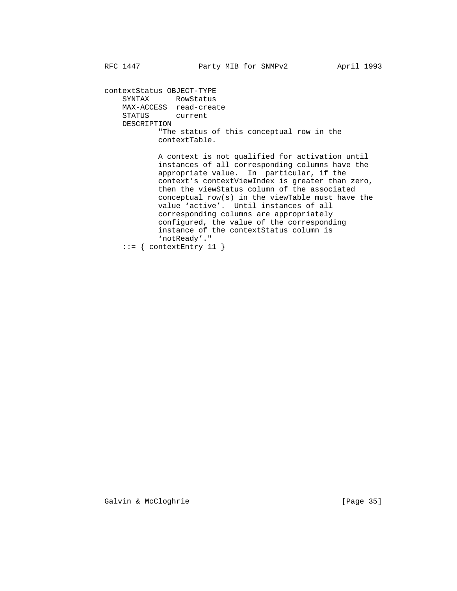contextStatus OBJECT-TYPE SYNTAX RowStatus MAX-ACCESS read-create STATUS current DESCRIPTION "The status of this conceptual row in the contextTable.

 A context is not qualified for activation until instances of all corresponding columns have the appropriate value. In particular, if the context's contextViewIndex is greater than zero, then the viewStatus column of the associated conceptual row(s) in the viewTable must have the value 'active'. Until instances of all corresponding columns are appropriately configured, the value of the corresponding instance of the contextStatus column is 'notReady'."  $::=$  { contextEntry 11 }

Galvin & McCloghrie [Page 35]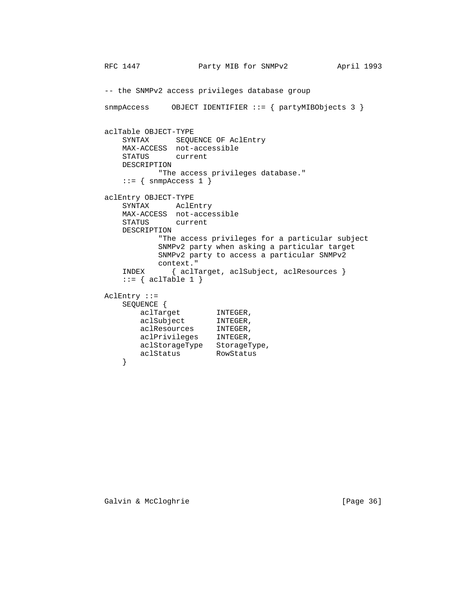```
RFC 1447 Party MIB for SNMPv2 April 1993
        -- the SNMPv2 access privileges database group
        snmpAccess OBJECT IDENTIFIER ::= { partyMIBObjects 3 }
        aclTable OBJECT-TYPE
            SYNTAX SEQUENCE OF AclEntry
            MAX-ACCESS not-accessible
            STATUS current
            DESCRIPTION
                 "The access privileges database."
           ::= { snmpAccess 1 }
        aclEntry OBJECT-TYPE
            SYNTAX AclEntry
            MAX-ACCESS not-accessible
            STATUS current
            DESCRIPTION
                  "The access privileges for a particular subject
                  SNMPv2 party when asking a particular target
                  SNMPv2 party to access a particular SNMPv2
 context."
 INDEX { aclTarget, aclSubject, aclResources }
           ::= { aclTable 1 }
        AclEntry ::=
            SEQUENCE {
aclTarget INTEGER,
aclSubject INTEGER,
 aclResources INTEGER,
 aclPrivileges INTEGER,
 aclStorageType StorageType,
 aclStatus RowStatus
```
}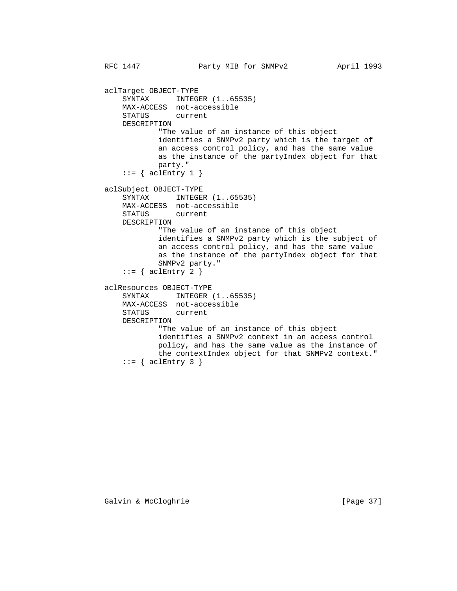RFC 1447 **Party MIB for SNMPv2** April 1993 aclTarget OBJECT-TYPE SYNTAX INTEGER  $(1..65535)$  MAX-ACCESS not-accessible STATUS current DESCRIPTION "The value of an instance of this object identifies a SNMPv2 party which is the target of an access control policy, and has the same value as the instance of the partyIndex object for that party."  $::=$  { aclEntry 1 } aclSubject OBJECT-TYPE SYNTAX INTEGER  $(1..65535)$  MAX-ACCESS not-accessible STATUS current DESCRIPTION "The value of an instance of this object identifies a SNMPv2 party which is the subject of an access control policy, and has the same value as the instance of the partyIndex object for that SNMPv2 party."  $::=$  { aclEntry 2 } aclResources OBJECT-TYPE SYNTAX INTEGER  $(1..65535)$  MAX-ACCESS not-accessible STATUS current DESCRIPTION "The value of an instance of this object identifies a SNMPv2 context in an access control policy, and has the same value as the instance of the contextIndex object for that SNMPv2 context."  $::=$  { aclEntry 3 }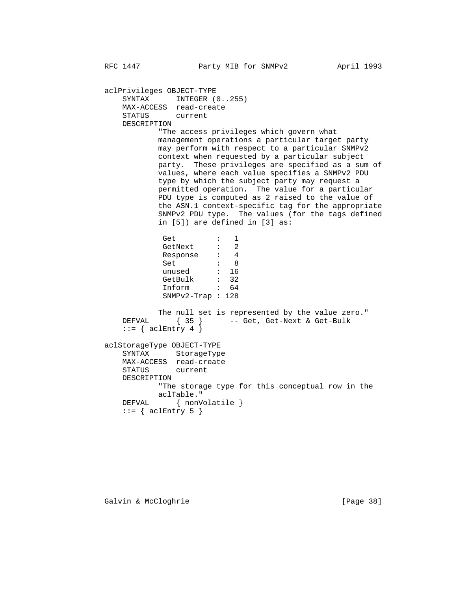aclPrivileges OBJECT-TYPE SYNTAX INTEGER  $(0..255)$  MAX-ACCESS read-create STATUS current DESCRIPTION "The access privileges which govern what management operations a particular target party may perform with respect to a particular SNMPv2 context when requested by a particular subject party. These privileges are specified as a sum of values, where each value specifies a SNMPv2 PDU type by which the subject party may request a permitted operation. The value for a particular PDU type is computed as 2 raised to the value of the ASN.1 context-specific tag for the appropriate SNMPv2 PDU type. The values (for the tags defined in [5]) are defined in [3] as: Get : 1 GetNext : 2 Response : 4<br>Set : 8 set : 8 unused : 16 GetBulk : 32 Inform : 64 SNMPv2-Trap : 128 The null set is represented by the value zero." DEFVAL { 35 } -- Get, Get-Next & Get-Bulk  $::=$  { aclEntry 4 } aclStorageType OBJECT-TYPE SYNTAX StorageType MAX-ACCESS read-create STATUS current DESCRIPTION "The storage type for this conceptual row in the aclTable."<br>DEFVAL { nonV  $\{ nonVolatile \}$  $::=$  { aclEntry 5 }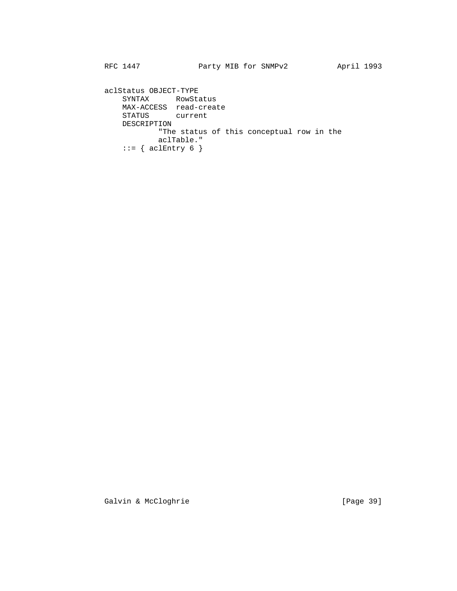aclStatus OBJECT-TYPE SYNTAX RowStatus MAX-ACCESS read-create STATUS current DESCRIPTION "The status of this conceptual row in the aclTable."  $::= \{ \text{aclEntry } 6 \}$ 

Galvin & McCloghrie [Page 39]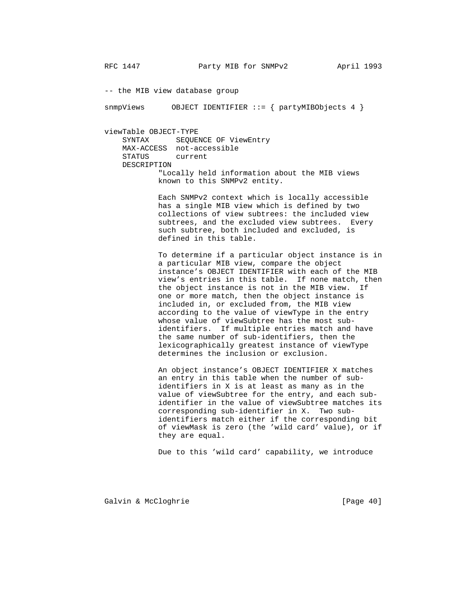-- the MIB view database group

snmpViews 0BJECT IDENTIFIER ::= { partyMIBObjects 4 }

 viewTable OBJECT-TYPE SYNTAX SEQUENCE OF ViewEntry

> MAX-ACCESS not-accessible STATUS current DESCRIPTION "Locally held information about the MIB views known to this SNMPv2 entity.

> > Each SNMPv2 context which is locally accessible has a single MIB view which is defined by two collections of view subtrees: the included view subtrees, and the excluded view subtrees. Every such subtree, both included and excluded, is defined in this table.

 To determine if a particular object instance is in a particular MIB view, compare the object instance's OBJECT IDENTIFIER with each of the MIB view's entries in this table. If none match, then the object instance is not in the MIB view. If one or more match, then the object instance is included in, or excluded from, the MIB view according to the value of viewType in the entry whose value of viewSubtree has the most sub identifiers. If multiple entries match and have the same number of sub-identifiers, then the lexicographically greatest instance of viewType determines the inclusion or exclusion.

 An object instance's OBJECT IDENTIFIER X matches an entry in this table when the number of sub identifiers in X is at least as many as in the value of viewSubtree for the entry, and each sub identifier in the value of viewSubtree matches its corresponding sub-identifier in X. Two sub identifiers match either if the corresponding bit of viewMask is zero (the 'wild card' value), or if they are equal.

Due to this 'wild card' capability, we introduce

Galvin & McCloghrie [Page 40]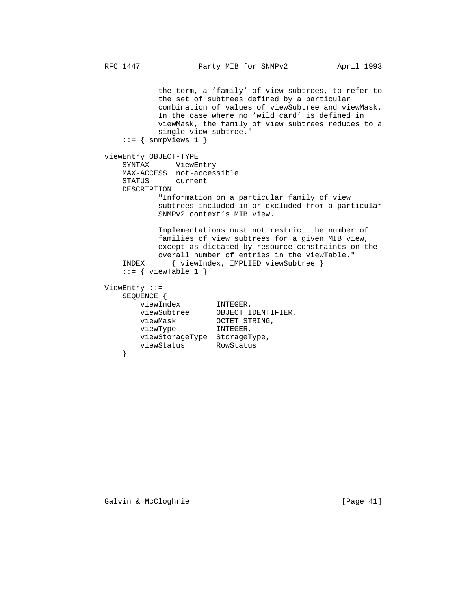the term, a 'family' of view subtrees, to refer to the set of subtrees defined by a particular combination of values of viewSubtree and viewMask. In the case where no 'wild card' is defined in viewMask, the family of view subtrees reduces to a single view subtree." ::= { snmpViews 1 } viewEntry OBJECT-TYPE SYNTAX ViewEntry MAX-ACCESS not-accessible STATUS current DESCRIPTION "Information on a particular family of view subtrees included in or excluded from a particular SNMPv2 context's MIB view. Implementations must not restrict the number of families of view subtrees for a given MIB view, except as dictated by resource constraints on the overall number of entries in the viewTable."<br>INDEX { viewIndex, IMPLIED viewSubtree } { viewIndex, IMPLIED viewSubtree }  $::=$  { viewTable 1 } ViewEntry ::= SEQUENCE { viewIndex viewIndex INTEGER,<br>viewSubtree OBJECT IDENTIFIER, viewMask OCTET STRING, viewType **INTEGER**, viewStorageType StorageType, viewStatus RowStatus }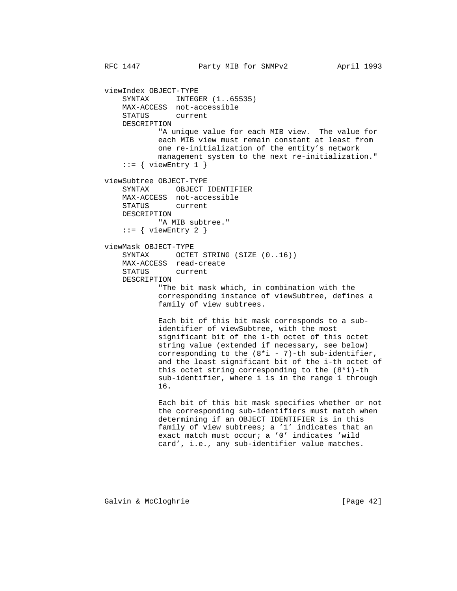viewIndex OBJECT-TYPE SYNTAX INTEGER  $(1..65535)$  MAX-ACCESS not-accessible STATUS current DESCRIPTION "A unique value for each MIB view. The value for each MIB view must remain constant at least from one re-initialization of the entity's network management system to the next re-initialization."  $::=$  { viewEntry 1 } viewSubtree OBJECT-TYPE SYNTAX OBJECT IDENTIFIER MAX-ACCESS not-accessible STATUS current DESCRIPTION "A MIB subtree."  $::=$  { viewEntry 2 } viewMask OBJECT-TYPE SYNTAX OCTET STRING (SIZE (0..16)) MAX-ACCESS read-create STATUS current DESCRIPTION "The bit mask which, in combination with the corresponding instance of viewSubtree, defines a family of view subtrees. Each bit of this bit mask corresponds to a sub identifier of viewSubtree, with the most significant bit of the i-th octet of this octet string value (extended if necessary, see below) corresponding to the  $(8 * i - 7)$ -th sub-identifier, and the least significant bit of the i-th octet of this octet string corresponding to the (8\*i)-th sub-identifier, where i is in the range 1 through 16. Each bit of this bit mask specifies whether or not the corresponding sub-identifiers must match when determining if an OBJECT IDENTIFIER is in this family of view subtrees; a '1' indicates that an exact match must occur; a '0' indicates 'wild card', i.e., any sub-identifier value matches.

Galvin & McCloghrie [Page 42]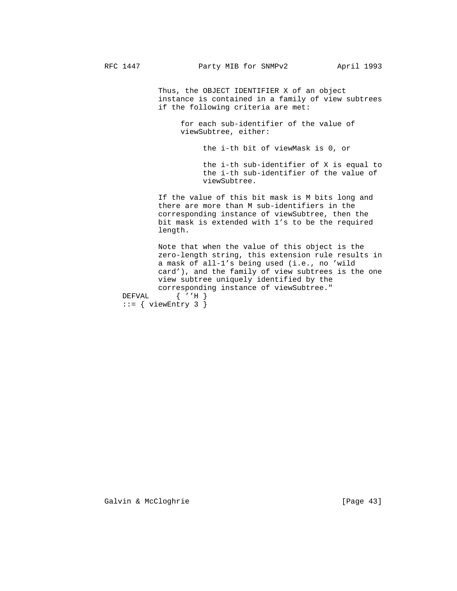Thus, the OBJECT IDENTIFIER X of an object instance is contained in a family of view subtrees if the following criteria are met:

 for each sub-identifier of the value of viewSubtree, either:

the i-th bit of viewMask is 0, or

 the i-th sub-identifier of X is equal to the i-th sub-identifier of the value of viewSubtree.

 If the value of this bit mask is M bits long and there are more than M sub-identifiers in the corresponding instance of viewSubtree, then the bit mask is extended with 1's to be the required length.

 Note that when the value of this object is the zero-length string, this extension rule results in a mask of all-1's being used (i.e., no 'wild card'), and the family of view subtrees is the one view subtree uniquely identified by the corresponding instance of viewSubtree."<br>DEFVAL  $\{ 'H \}$  $\{$  ''H  $\}$  $::=$  { viewEntry 3 }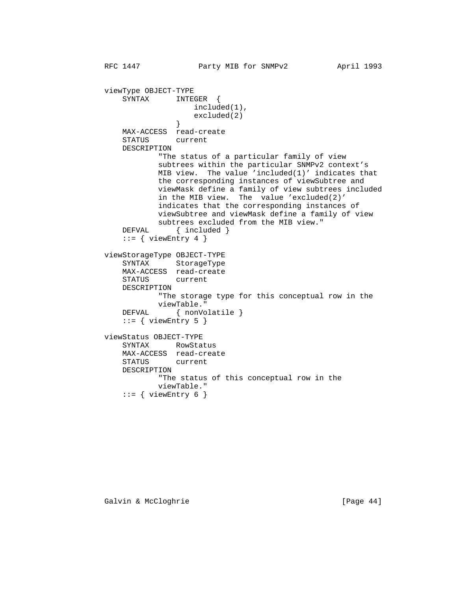```
 viewType OBJECT-TYPE
              SYNTAX INTEGER {
                            included(1),
                        excluded(2)<br>}
 }
              MAX-ACCESS read-create
              STATUS current
              DESCRIPTION
                     "The status of a particular family of view
                     subtrees within the particular SNMPv2 context's
                     MIB view. The value 'included(1)' indicates that
                     the corresponding instances of viewSubtree and
                     viewMask define a family of view subtrees included
                     in the MIB view. The value 'excluded(2)'
                     indicates that the corresponding instances of
                     viewSubtree and viewMask define a family of view
                     subtrees excluded from the MIB view."
             DEFVAL { included }
             ::= { viewEntry 4 }
          viewStorageType OBJECT-TYPE
SYNTAX StorageType
 MAX-ACCESS read-create
              STATUS current
              DESCRIPTION
                     "The storage type for this conceptual row in the
             viewTable."<br>DEFVAL { nonVo
                      \{ nonVolatile \}::= { viewEntry 5 }
```
RFC 1447 **Party MIB for SNMPv2** April 1993

```
 viewStatus OBJECT-TYPE
    SYNTAX RowStatus
    MAX-ACCESS read-create
    STATUS current
    DESCRIPTION
            "The status of this conceptual row in the
            viewTable."
    ::= { viewEntry 6 }
```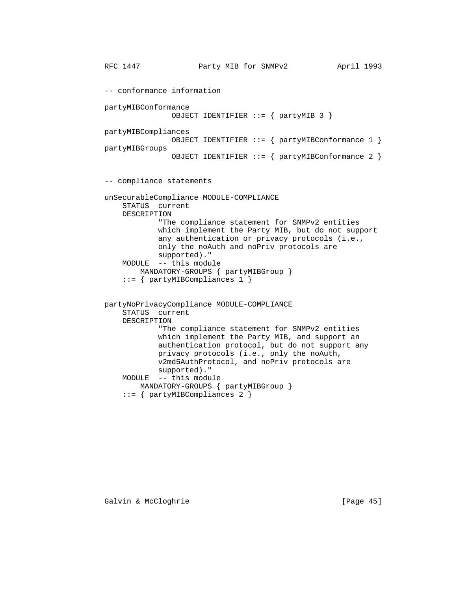RFC 1447 **Party MIB for SNMPv2** April 1993 -- conformance information partyMIBConformance OBJECT IDENTIFIER ::= { partyMIB 3 } partyMIBCompliances OBJECT IDENTIFIER ::= { partyMIBConformance 1 } partyMIBGroups OBJECT IDENTIFIER ::= { partyMIBConformance 2 } -- compliance statements unSecurableCompliance MODULE-COMPLIANCE STATUS current DESCRIPTION "The compliance statement for SNMPv2 entities which implement the Party MIB, but do not support any authentication or privacy protocols (i.e., only the noAuth and noPriv protocols are supported)." MODULE -- this module MANDATORY-GROUPS { partyMIBGroup } ::= { partyMIBCompliances 1 } partyNoPrivacyCompliance MODULE-COMPLIANCE STATUS current DESCRIPTION "The compliance statement for SNMPv2 entities which implement the Party MIB, and support an authentication protocol, but do not support any privacy protocols (i.e., only the noAuth, v2md5AuthProtocol, and noPriv protocols are supported)." MODULE -- this module MANDATORY-GROUPS { partyMIBGroup } ::= { partyMIBCompliances 2 }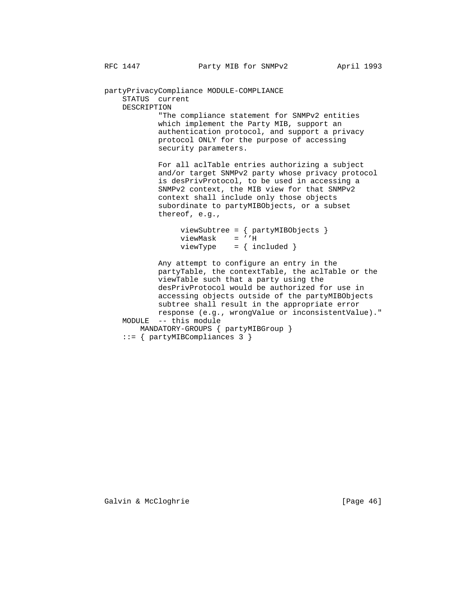partyPrivacyCompliance MODULE-COMPLIANCE STATUS current DESCRIPTION "The compliance statement for SNMPv2 entities

 which implement the Party MIB, support an authentication protocol, and support a privacy protocol ONLY for the purpose of accessing security parameters.

 For all aclTable entries authorizing a subject and/or target SNMPv2 party whose privacy protocol is desPrivProtocol, to be used in accessing a SNMPv2 context, the MIB view for that SNMPv2 context shall include only those objects subordinate to partyMIBObjects, or a subset thereof, e.g.,

 viewSubtree = { partyMIBObjects } viewMask = ''H  $viewType = \{ included \}$ 

 Any attempt to configure an entry in the partyTable, the contextTable, the aclTable or the viewTable such that a party using the desPrivProtocol would be authorized for use in accessing objects outside of the partyMIBObjects subtree shall result in the appropriate error response (e.g., wrongValue or inconsistentValue)." MODULE -- this module MANDATORY-GROUPS { partyMIBGroup }

::= { partyMIBCompliances 3 }

Galvin & McCloghrie [Page 46]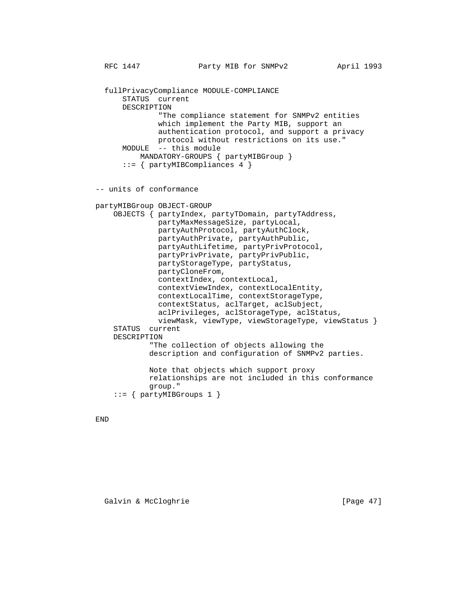fullPrivacyCompliance MODULE-COMPLIANCE STATUS current DESCRIPTION "The compliance statement for SNMPv2 entities which implement the Party MIB, support an authentication protocol, and support a privacy protocol without restrictions on its use." MODULE -- this module MANDATORY-GROUPS { partyMIBGroup } ::= { partyMIBCompliances 4 } -- units of conformance partyMIBGroup OBJECT-GROUP OBJECTS { partyIndex, partyTDomain, partyTAddress, partyMaxMessageSize, partyLocal, partyAuthProtocol, partyAuthClock, partyAuthPrivate, partyAuthPublic, partyAuthLifetime, partyPrivProtocol, partyPrivPrivate, partyPrivPublic, partyStorageType, partyStatus, partyCloneFrom, contextIndex, contextLocal, contextViewIndex, contextLocalEntity, contextLocalTime, contextStorageType, contextStatus, aclTarget, aclSubject, aclPrivileges, aclStorageType, aclStatus, viewMask, viewType, viewStorageType, viewStatus } STATUS current DESCRIPTION "The collection of objects allowing the description and configuration of SNMPv2 parties. Note that objects which support proxy relationships are not included in this conformance group."

 $::=$  { partyMIBGroups 1 }

END

Galvin & McCloghrie [Page 47]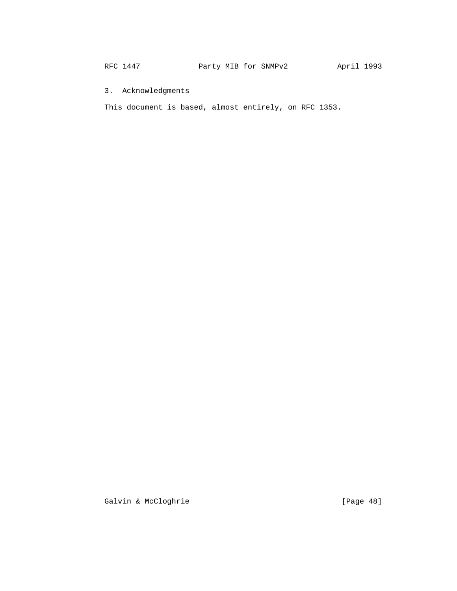RFC 1447 **Party MIB for SNMPv2** April 1993

3. Acknowledgments

This document is based, almost entirely, on RFC 1353.

Galvin & McCloghrie (Page 48)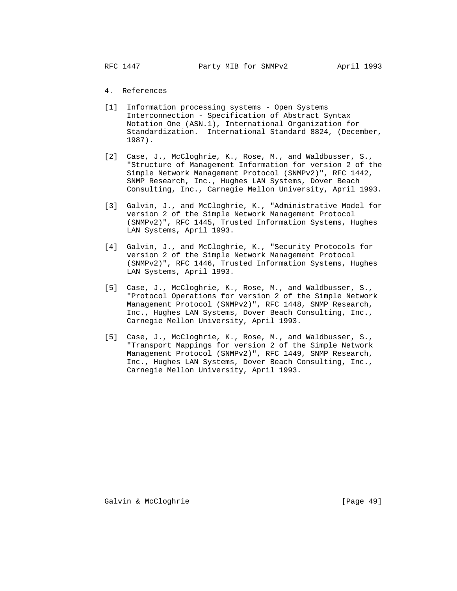## 4. References

- [1] Information processing systems Open Systems Interconnection - Specification of Abstract Syntax Notation One (ASN.1), International Organization for Standardization. International Standard 8824, (December, 1987).
- [2] Case, J., McCloghrie, K., Rose, M., and Waldbusser, S., "Structure of Management Information for version 2 of the Simple Network Management Protocol (SNMPv2)", RFC 1442, SNMP Research, Inc., Hughes LAN Systems, Dover Beach Consulting, Inc., Carnegie Mellon University, April 1993.
- [3] Galvin, J., and McCloghrie, K., "Administrative Model for version 2 of the Simple Network Management Protocol (SNMPv2)", RFC 1445, Trusted Information Systems, Hughes LAN Systems, April 1993.
- [4] Galvin, J., and McCloghrie, K., "Security Protocols for version 2 of the Simple Network Management Protocol (SNMPv2)", RFC 1446, Trusted Information Systems, Hughes LAN Systems, April 1993.
- [5] Case, J., McCloghrie, K., Rose, M., and Waldbusser, S., "Protocol Operations for version 2 of the Simple Network Management Protocol (SNMPv2)", RFC 1448, SNMP Research, Inc., Hughes LAN Systems, Dover Beach Consulting, Inc., Carnegie Mellon University, April 1993.
- [5] Case, J., McCloghrie, K., Rose, M., and Waldbusser, S., "Transport Mappings for version 2 of the Simple Network Management Protocol (SNMPv2)", RFC 1449, SNMP Research, Inc., Hughes LAN Systems, Dover Beach Consulting, Inc., Carnegie Mellon University, April 1993.

Galvin & McCloghrie [Page 49]